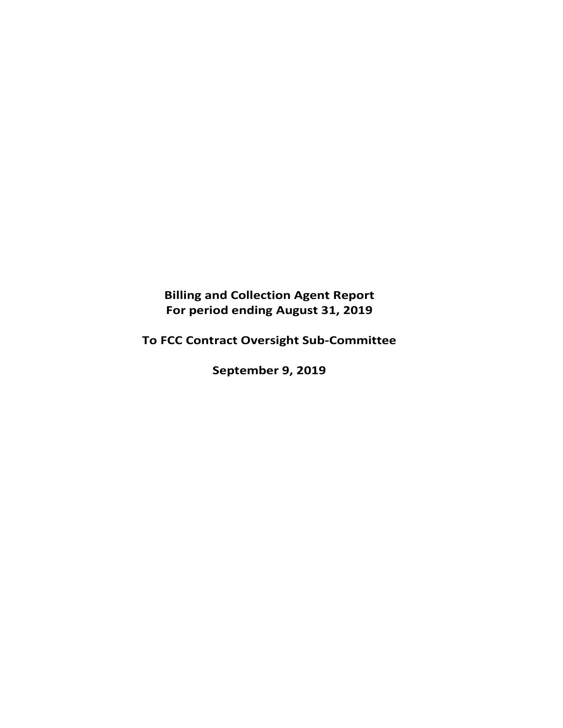**Billing and Collection Agent Report For period ending August 31, 2019** 

**To FCC Contract Oversight Sub‐Committee** 

**September 9, 2019**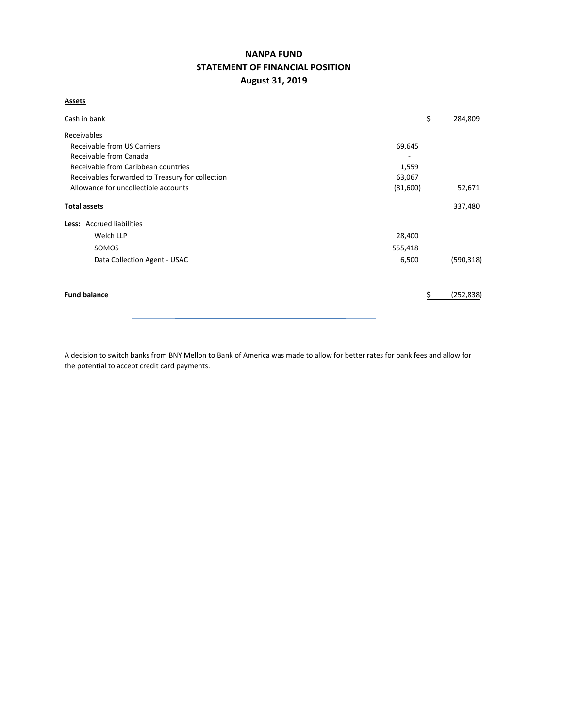# **NANPA FUND STATEMENT OF FINANCIAL POSITION August 31, 2019**

**Assets**

| Cash in bank                                     |          | \$<br>284,809   |
|--------------------------------------------------|----------|-----------------|
| Receivables                                      |          |                 |
| Receivable from US Carriers                      | 69,645   |                 |
| Receivable from Canada                           |          |                 |
| Receivable from Caribbean countries              | 1,559    |                 |
| Receivables forwarded to Treasury for collection | 63,067   |                 |
| Allowance for uncollectible accounts             | (81,600) | 52,671          |
| <b>Total assets</b>                              |          | 337,480         |
| Less: Accrued liabilities                        |          |                 |
| Welch LLP                                        | 28,400   |                 |
| SOMOS                                            | 555,418  |                 |
| Data Collection Agent - USAC                     | 6,500    | (590, 318)      |
| <b>Fund balance</b>                              |          | (252, 838)<br>S |

A decision to switch banks from BNY Mellon to Bank of America was made to allow for better rates for bank fees and allow for the potential to accept credit card payments.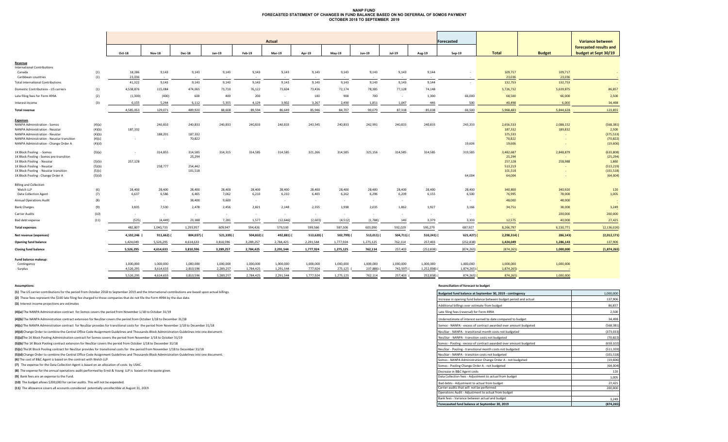#### **NANP FUND FORECASTED STATEMENT OF CHANGES IN FUND BALANCE BASED ON NO DEFERRAL OF SOMOS PAYMENTOCTOBER 2018 TO SEPTEMBER 2019**

|                                                 |        |                        |               |               |                        |            | <b>Actual</b> |                      |           |               |               |                         | <b>Forecasted</b> |               |               | <b>Variance between</b> |
|-------------------------------------------------|--------|------------------------|---------------|---------------|------------------------|------------|---------------|----------------------|-----------|---------------|---------------|-------------------------|-------------------|---------------|---------------|-------------------------|
|                                                 |        |                        |               |               |                        |            |               |                      |           |               |               |                         |                   |               |               | forecasted results and  |
|                                                 |        | Oct-18                 | <b>Nov-18</b> | <b>Dec-18</b> | Jan-19                 | Feb-19     | Mar-19        | Apr-19               | May-19    | <b>Jun-19</b> | <b>Jul-19</b> | Aug-19                  | $Sep-19$          | <b>Total</b>  | <b>Budget</b> | budget at Sept 30/19    |
| Revenue                                         |        |                        |               |               |                        |            |               |                      |           |               |               |                         |                   |               |               |                         |
| <b>International Contributions</b>              |        |                        |               |               |                        |            |               |                      |           |               |               |                         |                   |               |               |                         |
| Canada                                          | (1)    | 18,286                 | 9,143         | 9,143         | 9,143                  | 9,143      | 9,143         | 9,143                | 9,143     | 9,143         | 9,143         | 9,144                   |                   | 109,717       | 109,717       |                         |
| Caribbean countries                             | (1)    | 23.036                 | $\sim$        | $\sim$        | $\sim$                 |            |               |                      |           |               |               |                         |                   | 23,036        | 23.036        |                         |
| <b>Total International Contributions</b>        |        | 41,322                 | 9,143         | 9,143         | 9,143                  | 9,143      | 9,143         | 9,143                | 9,143     | 9,143         | 9,143         | 9,144                   | $\sim$            | 132,753       | 132,753       |                         |
| Domestic Contributions - US carriers            | (1)    | 4,538,876              | 115,084       | 474,065       | 73,710                 | 76,122     | 73.604        | 73.436               | 72,174    | 78,385        | 77,128        | 74,148                  |                   | 5,726,732     | 5,639,875     | 86,857                  |
| Late filing fees for Form 499A                  | (2)    | (1,300)                | (400)         | 600           | 400                    | 200        | $\sim$        | 100                  | 900       | 700           | $\sim$        | 1,300                   | 66,000            | 68,500        | 66,000        | 2,500                   |
| Interest income                                 | (3)    | 6,155                  | 5,244         | 6,112         | 5,355                  | 4,129      | 3,902         | 3,267                | 2,490     | 1,851         | 1,047         | 446                     | 500               | 40,498        | 6,000         | 34,498                  |
| <b>Total revenue</b>                            |        | 4,585,053              | 129,071       | 489,920       | 88,608                 | 89,594     | 86,649        | 85,946               | 84,707    | 90,079        | 87,318        | 85,038                  | 66,500            | 5,968,483     | 5,844,628     | 123,855                 |
|                                                 |        |                        |               |               |                        |            |               |                      |           |               |               |                         |                   |               |               |                         |
| <b>Expenses</b><br>NANPA Administration - Somos | (4)(a) | $\sim$                 | 240,833       | 240,833       | 240,833                | 240,833    | 240,833       | 243,545              | 240,833   | 242,991       | 240,833       | 240,833                 | 243,333           | 2,656,533     | 2,088,152     | (568, 381)              |
| NANPA Administration - Neustar                  | (4)(b) | 187,332                |               |               |                        |            |               |                      |           |               |               |                         |                   | 187,332       | 189,832       | 2,500                   |
| NANPA Administration - Neustar                  | (4)(b) |                        | 188,201       | 187,332       |                        |            |               |                      |           |               |               |                         |                   | 375,533       |               | (375, 533)              |
| NANPA Administration - Neustar transition       | (4)(c) | $\sim$                 | $\sim$        | 70,822        |                        |            |               |                      |           |               |               |                         |                   | 70,822        |               | (70, 822)               |
| NANPA Administration - Change Order A           | (4)(d) |                        |               |               |                        |            |               |                      |           |               |               |                         | 19,606            | 19,606        |               | (19,606)                |
| 1K Block Pooling - Somos                        | (5)(a) | $\sim$                 | 314,855       | 314,585       | 314,315                | 314,585    | 314,585       | 321,266              | 314,585   | 325,156       | 314,585       | 314,585                 | 319,585           | 3,482,687     | 2,848,879     | (633,808)               |
| 1K Block Pooling - Somos pre-transition         |        |                        |               | 25,294        |                        |            |               |                      |           |               |               |                         |                   | 25,294        |               | (25, 294)               |
| 1K Block Pooling - Neustar                      | (5)(b) | 257,128                |               |               |                        |            |               |                      |           |               |               |                         |                   | 257,128       | 258,988       | 1,860                   |
| 1K Block Pooling - Neustar                      | (5)(b) |                        | 258,777       | 254,442       |                        |            |               |                      |           |               |               |                         |                   | 513,219       |               | (513, 219)              |
| 1K Block Pooling - Neustar transition           | (5)(c) |                        |               | 101,518       |                        |            |               |                      |           |               |               |                         |                   | 101,518       |               | (101, 518)              |
| 1K Block Pooling - Change Order A               | (5)(d) |                        |               |               |                        |            |               |                      |           |               |               |                         | 64,004            | 64,004        |               | (64,004)                |
| <b>Billing and Collection</b>                   |        |                        |               |               |                        |            |               |                      |           |               |               |                         |                   |               |               |                         |
| Welch LLP                                       | (6)    | 28,400                 | 28,400        | 28,400        | 28,400                 | 28,400     | 28,400        | 28,400               | 28,400    | 28,400        | 28,400        | 28,400                  | 28,400            | 340,800       | 340,920       | 120                     |
| <b>Data Collection Agent</b>                    | (7)    | 6,637                  | 6,586         | 6,465         | 7,062                  | 6,210      | 6,210         | 6,403                | 6,262     | 6,296         | 6,209         | 6,155                   | 6,500             | 76,995        | 78,000        | 1,005                   |
| <b>Annual Operations Audit</b>                  | (8)    | $\sim$                 | $\sim$        | 38,400        | 9,600                  | $\sim$     | $\sim$        | $\sim$               | $\sim$    | $\sim$        | $\sim$        |                         | $\sim$            | 48,000        | 48,000        |                         |
| <b>Bank Charges</b>                             | (9)    | 3,835                  | 7,530         | 2,478         | 2,456                  | 2,821      | 2,148         | 2,555                | 1,938     | 2,035         | 1,862         | 1,927                   | 3,166             | 34,751        | 38,000        | 3,249                   |
| <b>Carrier Audits</b>                           | (10)   | $\sim$                 | $\sim$        | $\sim$        | $\sim$                 | $\sim$     | $\sim$        | $\sim$               | $\sim$    | $\sim$        | $\sim$        | $\sim$                  | $\sim$            | $\sim$        | 200,000       | 200,000                 |
| Bad debt expense                                | (11)   | (525)                  | (4, 449)      | 23,388        | 7,281                  | 1,577      | (12, 646)     | (2,603)              | (4,512)   | (1,788)       | 140           | 3,379                   | 3,333             | 12,575        | 40,000        | 27,425                  |
| <b>Total expenses</b>                           |        | 482,807                | 1,040,733     | 1,293,957     | 609,947                | 594,426    | 579,530       | 599,566              | 587,506   | 603,090       | 592,029       | 595,279                 | 687,927           | 8,266,797     | 6,130,771     | (2, 136, 026)           |
| Net revenue (expenses)                          |        | 4,102,246              | 911,662)      | 804,037) (    | 521,339)               | 504,832) ( | 492,881) (    | 513,620)             | 502,799)  | 513,011) (    | 504,711) (    | 510,241) (              | $621,427$ )       | $2,298,314$ ( | 286,143)      | (2,012,171)             |
| <b>Opening fund balance</b>                     |        | 1,424,049              | 5,526,295     | 4,614,633     | 3,810,596              | 3,289,257  | 2,784,425     | 2,291,544            | 1,777,924 | 1,275,125     | 762,114       | 257,403                 | (252, 838)        | 1,424,049     | 1,286,143     | 137,906                 |
| <b>Closing fund balance</b>                     |        | 5,526,295              | 4,614,633     | 3,810,596     | 3,289,257              | 2,784,425  | 2,291,544     | 1,777,924            | 1,275,125 | 762,114       | 257,403       | (252, 838)              | (874, 265)        | (874, 265)    | 1.000.000     | (1,874,265)             |
|                                                 |        |                        |               |               |                        |            |               |                      |           |               |               |                         |                   |               |               |                         |
| Fund balance makeup:                            |        |                        |               |               |                        |            | 1.000.000     |                      |           |               | 1.000.000     |                         |                   |               |               |                         |
| Contingency                                     |        | 1,000,000<br>4,526,295 | 1,000,000     | 1,000,000     | 1,000,000<br>2,289,257 | 1,000,000  |               | 1,000,000<br>777,924 | 1,000,000 | 1,000,000     |               | 1,000,000<br>1,252,838) | 1,000,000         | 1,000,000     | 1,000,000     |                         |
| Surplus                                         |        |                        | 3,614,633     | 2,810,596     |                        | 1,784,425  | 1,291,544     |                      | 275,125   | 237,886)      | 742,597)      |                         | 1,874,265)        | 1,874,265)    |               |                         |
|                                                 |        | 5,526,295              | 4,614,633     | 3.810.596     | 3,289,257              | 2,784,425  | 2,291,544     | 1,777,924            | 1,275,125 | 762,114       | 257,403 (     | 252,838)                | 874,265)          | 874,265)      | 1.000.000     |                         |

**(1)** The US carrier contributions for the period from October 2018 to September 2019 and the International contributions are based upon actual billings.

#### **Assumptions: Reconciliation of forecast to budget**

| (1) The US carrier contributions for the period from October 2018 to September 2019 and the International contributions are based upon actual billings. | Budgeted fund balance at September 30, 2019 - contingency         | 1,000,000  |
|---------------------------------------------------------------------------------------------------------------------------------------------------------|-------------------------------------------------------------------|------------|
| (2) These fees represent the \$100 late filing fee charged to those companies that do not file the Form 499A by the due date.                           | Increase in opening fund balance between budget period and actual | 137,906    |
| (3) Interest income projections are estimates                                                                                                           | Additional billings over estimate from budget                     | 86,857     |
| (4)(a) The NANPA Administration contract for Somos covers the period from November 1/18 to October 31/19                                                | Late filing fees (reversal) for Form 499A                         | 2,500      |
| (4)(b) The NANPA Administration contract extension for NeuStar covers the period from October 1/18 to December 31/18                                    | Underestimate of interest earned to date compared to budget       | 34,498     |
| (4)(c) The NANPA Administration contract for NeuStar provides for transitional costs for the period from November 1/18 to December 31/18                | Somos - NANPA - excess of contract awarded over amount budgeted   | (568, 381) |
| (4)(d) Change Order to combine the Central Office Code Assignment Guidelines and Thousands-Block Administration Guidelines into one document.           | NeuStar - NANPA - transitional month costs not budgeted           | (373, 033) |
| (5)(a)The 1K Block Pooling Administration contract for Somos covers the period from November 1/18 to October 31/19                                      | NeuStar - NANPA - transition costs not budgeted                   | (70, 822)  |
| (5)(b) The 1K Block Pooling contract extension for NeuStar covers the period from October 1/18 to December 31/18                                        | Somos - Pooling - excess of contract awarded over amount budgeted | (659, 102) |
| (5)(c) The 1K Block Pooling contract for NeuStar provides for transitional costs for the period from November 1/18 to December 31/18                    | NeuStar - Pooling - transitional month costs not budgeted         | (511, 359) |
| (5)(d) Change Order to combine the Central Office Code Assignment Guidelines and Thousands-Block Administration Guidelines into one document.           | NeuStar - NANPA - transition costs not budgeted                   | (101, 518) |
| (6) The cost of B&C Agent is based on the contract with Welch LLP                                                                                       | Somos - NANPA Administration Change Order A - not budgeted        | (19, 606)  |
| (7) The expense for the Data Collection Agent is based on an allocation of costs by USAC.                                                               | Somos - Pooling Change Order A - not budgeted                     | (64,004)   |
| (8) The expense for the annual operations audit performed by Ernst & Young LLP is based on the quote given.                                             | Decrease in B&C Agent costs                                       | 120        |
| (9) Bank fees are an expense to the Fund.                                                                                                               | Data Collection fees - Adjustment to actual from budget           | 1,005      |
| (10) The budget allows \$200,000 for carrier audits. This will not be expended.                                                                         | Bad debts - Adjustment to actual from budget                      | 27,425     |
| (11) The allowance covers all accounts considered potentially uncollectible at August 31, 2019.                                                         | Carrier audits that will not be performed                         | 200,000    |
|                                                                                                                                                         | Operations Audit - Adjustment to actual from budget               |            |
|                                                                                                                                                         | Bank fees - Variance between actual and budget                    | 3,249      |
|                                                                                                                                                         | Forecaseted fund balance at September 30, 2019                    | (874, 265) |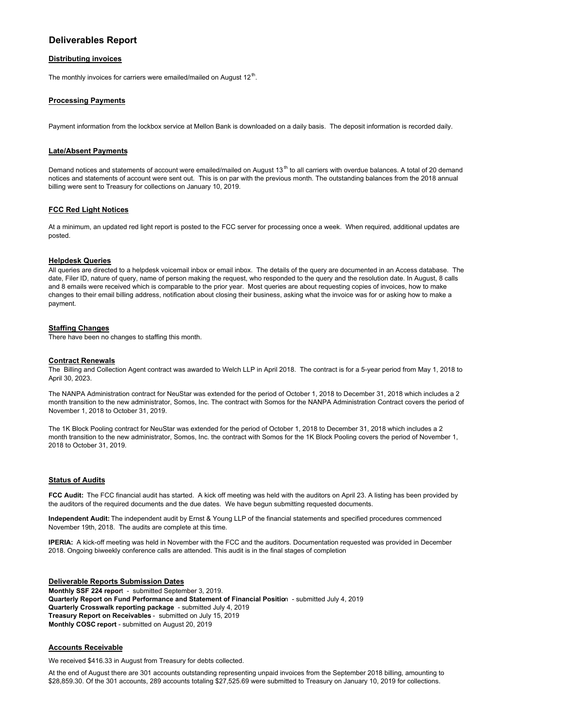# **Deliverables Report**

## **Distributing invoices**

The monthly invoices for carriers were emailed/mailed on August  $12<sup>th</sup>$ .

### **Processing Payments**

Payment information from the lockbox service at Mellon Bank is downloaded on a daily basis. The deposit information is recorded daily.

### **Late/Absent Payments**

Demand notices and statements of account were emailed/mailed on August 13<sup>th</sup> to all carriers with overdue balances. A total of 20 demand notices and statements of account were sent out. This is on par with the previous month. The outstanding balances from the 2018 annual billing were sent to Treasury for collections on January 10, 2019.

#### **FCC Red Light Notices**

At a minimum, an updated red light report is posted to the FCC server for processing once a week. When required, additional updates are posted.

#### **Helpdesk Queries**

All queries are directed to a helpdesk voicemail inbox or email inbox. The details of the query are documented in an Access database. The date, Filer ID, nature of query, name of person making the request, who responded to the query and the resolution date. In August, 8 calls and 8 emails were received which is comparable to the prior year. Most queries are about requesting copies of invoices, how to make changes to their email billing address, notification about closing their business, asking what the invoice was for or asking how to make a payment.

#### **Staffing Changes**

There have been no changes to staffing this month.

#### **Contract Renewals**

The Billing and Collection Agent contract was awarded to Welch LLP in April 2018. The contract is for a 5-year period from May 1, 2018 to April 30, 2023.

The NANPA Administration contract for NeuStar was extended for the period of October 1, 2018 to December 31, 2018 which includes a 2 month transition to the new administrator, Somos, Inc. The contract with Somos for the NANPA Administration Contract covers the period of November 1, 2018 to October 31, 2019.

The 1K Block Pooling contract for NeuStar was extended for the period of October 1, 2018 to December 31, 2018 which includes a 2 month transition to the new administrator, Somos, Inc. the contract with Somos for the 1K Block Pooling covers the period of November 1, 2018 to October 31, 2019.

#### **Status of Audits**

**FCC Audit:** The FCC financial audit has started. A kick off meeting was held with the auditors on April 23. A listing has been provided by the auditors of the required documents and the due dates. We have begun submitting requested documents.

**Independent Audit:** The independent audit by Ernst & Young LLP of the financial statements and specified procedures commenced November 19th, 2018. The audits are complete at this time.

**IPERIA:** A kick-off meeting was held in November with the FCC and the auditors. Documentation requested was provided in December 2018. Ongoing biweekly conference calls are attended. This audit is in the final stages of completion

**Deliverable Reports Submission Dates Monthly SSF 224 repor**t - submitted September 3, 2019. **Quarterly Report on Fund Performance and Statement of Financial Positio**n - submitted July 4, 2019 **Quarterly Crosswalk reporting package** - submitted July 4, 2019 **Treasury Report on Receivables** - submitted on July 15, 2019 **Monthly COSC report** - submitted on August 20, 2019

#### **Accounts Receivable**

We received \$416.33 in August from Treasury for debts collected.

At the end of August there are 301 accounts outstanding representing unpaid invoices from the September 2018 billing, amounting to \$28,859.30. Of the 301 accounts, 289 accounts totaling \$27,525.69 were submitted to Treasury on January 10, 2019 for collections.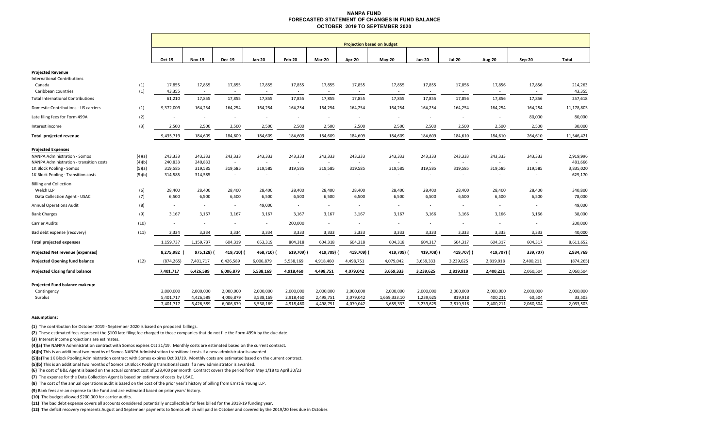#### **NANPA FUND FORECASTED STATEMENT OF CHANGES IN FUND BALANCEOCTOBER 2019 TO SEPTEMBER 2020**

|                                          |        |                          |               |               |                          |           |                          | <b>Projection based on budget</b> |              |               |               |                          |           |            |
|------------------------------------------|--------|--------------------------|---------------|---------------|--------------------------|-----------|--------------------------|-----------------------------------|--------------|---------------|---------------|--------------------------|-----------|------------|
|                                          |        |                          |               |               |                          |           |                          |                                   |              |               |               |                          |           |            |
|                                          |        | Oct-19                   | <b>Nov-19</b> | <b>Dec-19</b> | Jan-20                   | Feb-20    | Mar-20                   | Apr-20                            | May-20       | <b>Jun-20</b> | <b>Jul-20</b> | <b>Aug-20</b>            | Sep-20    | Total      |
| <b>Projected Revenue</b>                 |        |                          |               |               |                          |           |                          |                                   |              |               |               |                          |           |            |
| <b>International Contributions</b>       |        |                          |               |               |                          |           |                          |                                   |              |               |               |                          |           |            |
| Canada                                   | (1)    | 17,855                   | 17,855        | 17,855        | 17,855                   | 17,855    | 17,855                   | 17,855                            | 17,855       | 17,855        | 17,856        | 17,856                   | 17,856    | 214,263    |
| Caribbean countries                      | (1)    | 43,355                   | $\sim$        | $\sim$        | $\sim$                   | $\sim$    |                          |                                   | $\sim$       | $\sim$        |               |                          |           | 43,355     |
| <b>Total International Contributions</b> |        | 61,210                   | 17,855        | 17,855        | 17,855                   | 17,855    | 17,855                   | 17,855                            | 17,855       | 17,855        | 17,856        | 17,856                   | 17,856    | 257,618    |
| Domestic Contributions - US carriers     | (1)    | 9,372,009                | 164,254       | 164,254       | 164,254                  | 164,254   | 164,254                  | 164,254                           | 164,254      | 164,254       | 164,254       | 164,254                  | 164,254   | 11,178,803 |
| Late filing fees for Form 499A           | (2)    |                          |               |               |                          | $\sim$    |                          |                                   | $\sim$       |               |               |                          | 80,000    | 80,000     |
| Interest income                          | (3)    | 2,500                    | 2,500         | 2,500         | 2,500                    | 2,500     | 2,500                    | 2,500                             | 2,500        | 2,500         | 2,500         | 2,500                    | 2,500     | 30,000     |
| Total projected revenue                  |        | 9,435,719                | 184,609       | 184,609       | 184,609                  | 184,609   | 184,609                  | 184,609                           | 184,609      | 184,609       | 184,610       | 184,610                  | 264,610   | 11,546,421 |
| <b>Projected Expenses</b>                |        |                          |               |               |                          |           |                          |                                   |              |               |               |                          |           |            |
| <b>NANPA Administration - Somos</b>      | (4)(a) | 243,333                  | 243,333       | 243,333       | 243,333                  | 243,333   | 243,333                  | 243,333                           | 243,333      | 243,333       | 243,333       | 243,333                  | 243,333   | 2,919,996  |
| NANPA Administration - transition costs  | (4)(b) | 240,833                  | 240,833       | $\sim$        | $\sim$                   | $\sim$    | $\overline{\phantom{a}}$ |                                   | $\sim$       | $\sim$        |               | $\sim$                   |           | 481,666    |
| 1K Block Pooling - Somos                 | (5)(a) | 319,585                  | 319,585       | 319,585       | 319,585                  | 319,585   | 319,585                  | 319,585                           | 319,585      | 319,585       | 319,585       | 319,585                  | 319,585   | 3,835,020  |
| 1K Block Pooling - Transition costs      | (5)(b) | 314,585                  | 314,585       | $\sim$        | $\sim$                   |           |                          | $\sim$                            | $\sim$       | $\sim$        |               |                          |           | 629,170    |
| <b>Billing and Collection</b>            |        |                          |               |               |                          |           |                          |                                   |              |               |               |                          |           |            |
| Welch LLP                                | (6)    | 28,400                   | 28,400        | 28,400        | 28,400                   | 28,400    | 28,400                   | 28,400                            | 28,400       | 28,400        | 28,400        | 28,400                   | 28,400    | 340,800    |
| Data Collection Agent - USAC             | (7)    | 6,500                    | 6,500         | 6,500         | 6,500                    | 6,500     | 6,500                    | 6,500                             | 6,500        | 6,500         | 6,500         | 6,500                    | 6,500     | 78,000     |
| <b>Annual Operations Audit</b>           | (8)    | $\sim$                   | $\sim$        | $\sim$        | 49,000                   | $\sim$    | $\sim$                   | $\sim$                            | $\sim$       | $\sim$        | $\sim$        | $\sim$                   | $\sim$    | 49,000     |
| <b>Bank Charges</b>                      | (9)    | 3,167                    | 3,167         | 3,167         | 3,167                    | 3,167     | 3,167                    | 3,167                             | 3,167        | 3,166         | 3,166         | 3,166                    | 3,166     | 38,000     |
| Carrier Audits                           | (10)   | $\overline{\phantom{a}}$ | $\sim$        | $\sim$        | $\overline{\phantom{a}}$ | 200,000   | $\overline{\phantom{a}}$ |                                   | $\sim$       | $\sim$        |               | $\overline{\phantom{a}}$ |           | 200,000    |
| Bad debt expense (recovery)              | (11)   | 3,334                    | 3,334         | 3,334         | 3,334                    | 3,333     | 3,333                    | 3,333                             | 3,333        | 3,333         | 3,333         | 3,333                    | 3,333     | 40,000     |
| <b>Total projected expenses</b>          |        | 1,159,737                | 1,159,737     | 604,319       | 653,319                  | 804,318   | 604,318                  | 604,318                           | 604,318      | 604,317       | 604,317       | 604,317                  | 604,317   | 8,611,652  |
| Projected Net revenue (expenses)         |        | 8,275,982                | 975,128)      | 419,710)      | 468,710) (               | 619,709)  | 419,709) (               | 419,709) (                        | 419,709)     | 419,708)      | 419,707) (    | 419,707) (               | 339,707)  | 2,934,769  |
| <b>Projected Opening fund balance</b>    | (12)   | (874, 265)               | 7,401,717     | 6,426,589     | 6,006,879                | 5,538,169 | 4,918,460                | 4,498,751                         | 4,079,042    | 3,659,333     | 3,239,625     | 2,819,918                | 2,400,211 | (874, 265) |
| <b>Projected Closing fund balance</b>    |        | 7,401,717                | 6,426,589     | 6,006,879     | 5,538,169                | 4,918,460 | 4,498,751                | 4,079,042                         | 3,659,333    | 3,239,625     | 2,819,918     | 2,400,211                | 2,060,504 | 2,060,504  |
| Projected Fund balance makeup:           |        |                          |               |               |                          |           |                          |                                   |              |               |               |                          |           |            |
| Contingency                              |        | 2,000,000                | 2,000,000     | 2,000,000     | 2,000,000                | 2,000,000 | 2,000,000                | 2,000,000                         | 2,000,000    | 2,000,000     | 2,000,000     | 2,000,000                | 2,000,000 | 2,000,000  |
| Surplus                                  |        | 5,401,717                | 4,426,589     | 4,006,879     | 3,538,169                | 2,918,460 | 2,498,751                | 2,079,042                         | 1,659,333.10 | 1,239,625     | 819,918       | 400,211                  | 60,504    | 33,503     |
|                                          |        | 7,401,717                | 6,426,589     | 6,006,879     | 5,538,169                | 4,918,460 | 4,498,751                | 4,079,042                         | 3,659,333    | 3,239,625     | 2,819,918     | 2,400,211                | 2,060,504 | 2,033,503  |
|                                          |        |                          |               |               |                          |           |                          |                                   |              |               |               |                          |           |            |

#### **Assumptions:**

**(1)** The contribution for October 2019 ‐ September 2020 is based on proposed billings.

**(2)** These estimated fees represent the \$100 late filing fee charged to those companies that do not file the Form 499A by the due date.

**(3)** Interest income projections are estimates.

**(4)(a)** The NANPA Administration contract with Somos expires Oct 31/19. Monthly costs are estimated based on the current contract.

**(4)(b)** This is an additional two months of Somos NANPA Administration transitional costs if a new administrator is awarded

**(5)(a)**The 1K Block Pooling Administration contract with Somos expires Oct 31/19. Monthly costs are estimated based on the current contract.

**(5)(b)** This is an additional two months of Somos 1K Block Pooling transitional costs if a new administrator is awarded.

**(6)** The cost of B&C Agent is based on the actual contract cost of \$28,400 per month. Contract covers the period from May 1/18 to April 30/23

**(7)**  The expense for the Data Collection Agent is based on estimate of costs by USAC.

**(8)**  The cost of the annual operations audit is based on the cost of the prior year's history of billing from Ernst & Young LLP.

**(9)** Bank fees are an expense to the Fund and are estimated based on prior years' history.

**(10)** The budget allowed \$200,000 for carrier audits.

**(11)**  The bad debt expense covers all accounts considered potentially uncollectible for fees billed for the 2018‐19 funding year.

**(12)**  The deficit recovery represents August and September payments to Somos which will paid in October and covered by the 2019/20 fees due in October.